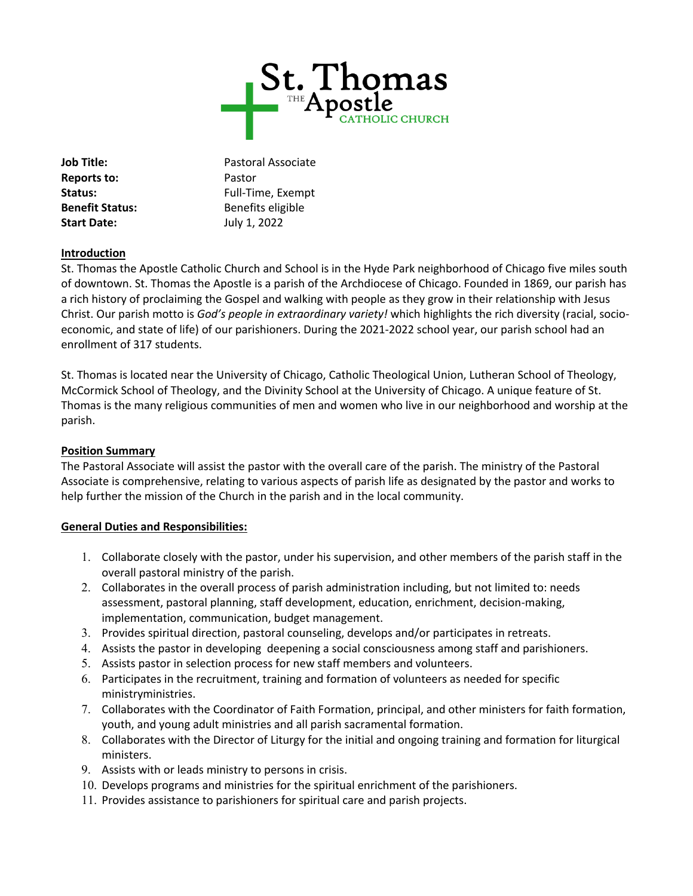

**Reports to:** Pastor **Start Date:** July 1, 2022

**Job Title:** Pastoral Associate Status: Full-Time, Exempt **Benefit Status:** Benefits eligible

## **Introduction**

St. Thomas the Apostle Catholic Church and School is in the Hyde Park neighborhood of Chicago five miles south of downtown. St. Thomas the Apostle is a parish of the Archdiocese of Chicago. Founded in 1869, our parish has a rich history of proclaiming the Gospel and walking with people as they grow in their relationship with Jesus Christ. Our parish motto is *God's people in extraordinary variety!* which highlights the rich diversity (racial, socioeconomic, and state of life) of our parishioners. During the 2021-2022 school year, our parish school had an enrollment of 317 students.

St. Thomas is located near the University of Chicago, Catholic Theological Union, Lutheran School of Theology, McCormick School of Theology, and the Divinity School at the University of Chicago. A unique feature of St. Thomas is the many religious communities of men and women who live in our neighborhood and worship at the parish.

## **Position Summary**

The Pastoral Associate will assist the pastor with the overall care of the parish. The ministry of the Pastoral Associate is comprehensive, relating to various aspects of parish life as designated by the pastor and works to help further the mission of the Church in the parish and in the local community.

## **General Duties and Responsibilities:**

- 1. Collaborate closely with the pastor, under his supervision, and other members of the parish staff in the overall pastoral ministry of the parish.
- 2. Collaborates in the overall process of parish administration including, but not limited to: needs assessment, pastoral planning, staff development, education, enrichment, decision-making, implementation, communication, budget management.
- 3. Provides spiritual direction, pastoral counseling, develops and/or participates in retreats.
- 4. Assists the pastor in developing deepening a social consciousness among staff and parishioners.
- 5. Assists pastor in selection process for new staff members and volunteers.
- 6. Participates in the recruitment, training and formation of volunteers as needed for specific ministryministries.
- 7. Collaborates with the Coordinator of Faith Formation, principal, and other ministers for faith formation, youth, and young adult ministries and all parish sacramental formation.
- 8. Collaborates with the Director of Liturgy for the initial and ongoing training and formation for liturgical ministers.
- 9. Assists with or leads ministry to persons in crisis.
- 10. Develops programs and ministries for the spiritual enrichment of the parishioners.
- 11. Provides assistance to parishioners for spiritual care and parish projects.